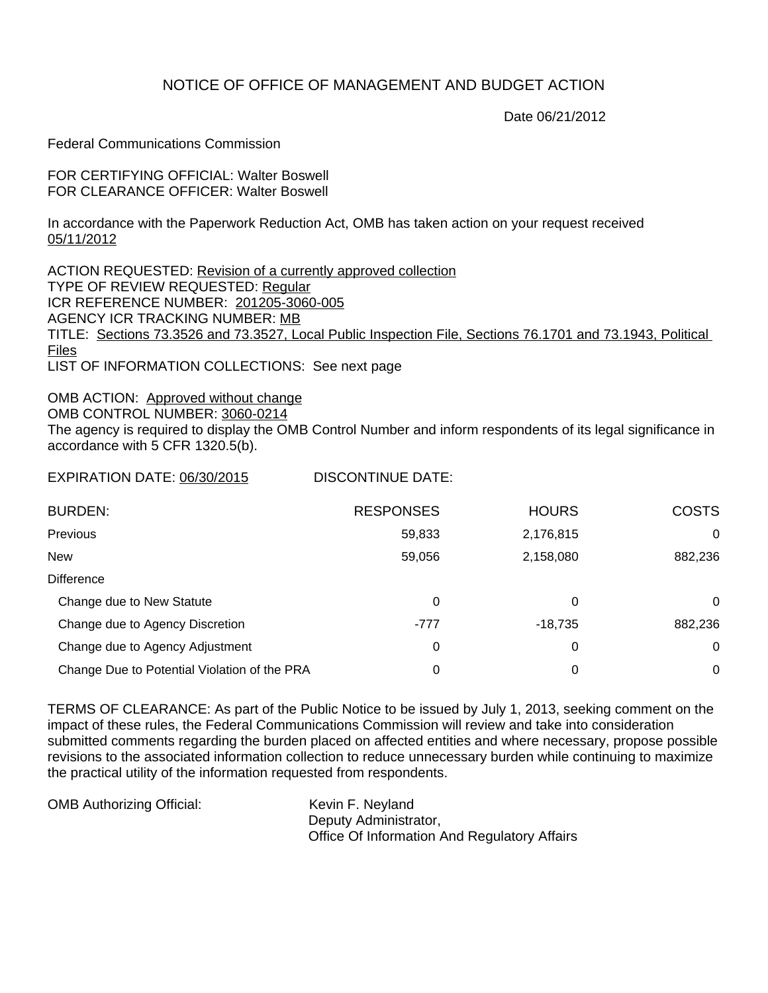## NOTICE OF OFFICE OF MANAGEMENT AND BUDGET ACTION

Date 06/21/2012

Federal Communications Commission

FOR CERTIFYING OFFICIAL: Walter Boswell FOR CLEARANCE OFFICER: Walter Boswell

In accordance with the Paperwork Reduction Act, OMB has taken action on your request received 05/11/2012

ACTION REQUESTED: Revision of a currently approved collection TYPE OF REVIEW REQUESTED: Regular ICR REFERENCE NUMBER: 201205-3060-005 AGENCY ICR TRACKING NUMBER: MB TITLE: Sections 73.3526 and 73.3527, Local Public Inspection File, Sections 76.1701 and 73.1943, Political Files LIST OF INFORMATION COLLECTIONS: See next page

OMB ACTION: Approved without change OMB CONTROL NUMBER: 3060-0214 The agency is required to display the OMB Control Number and inform respondents of its legal significance in accordance with 5 CFR 1320.5(b).

EXPIRATION DATE: 06/30/2015 DISCONTINUE DATE:

| <b>BURDEN:</b>                               | <b>RESPONSES</b> | <b>HOURS</b> | <b>COSTS</b> |
|----------------------------------------------|------------------|--------------|--------------|
| Previous                                     | 59,833           | 2,176,815    | 0            |
| <b>New</b>                                   | 59,056           | 2,158,080    | 882,236      |
| <b>Difference</b>                            |                  |              |              |
| Change due to New Statute                    | 0                | 0            | 0            |
| Change due to Agency Discretion              | $-777$           | $-18.735$    | 882,236      |
| Change due to Agency Adjustment              | 0                | 0            | 0            |
| Change Due to Potential Violation of the PRA | 0                | 0            | 0            |

TERMS OF CLEARANCE: As part of the Public Notice to be issued by July 1, 2013, seeking comment on the impact of these rules, the Federal Communications Commission will review and take into consideration submitted comments regarding the burden placed on affected entities and where necessary, propose possible revisions to the associated information collection to reduce unnecessary burden while continuing to maximize the practical utility of the information requested from respondents.

| <b>OMB Authorizing Official:</b> | Kevin F. Neyland                             |
|----------------------------------|----------------------------------------------|
|                                  | Deputy Administrator,                        |
|                                  | Office Of Information And Regulatory Affairs |